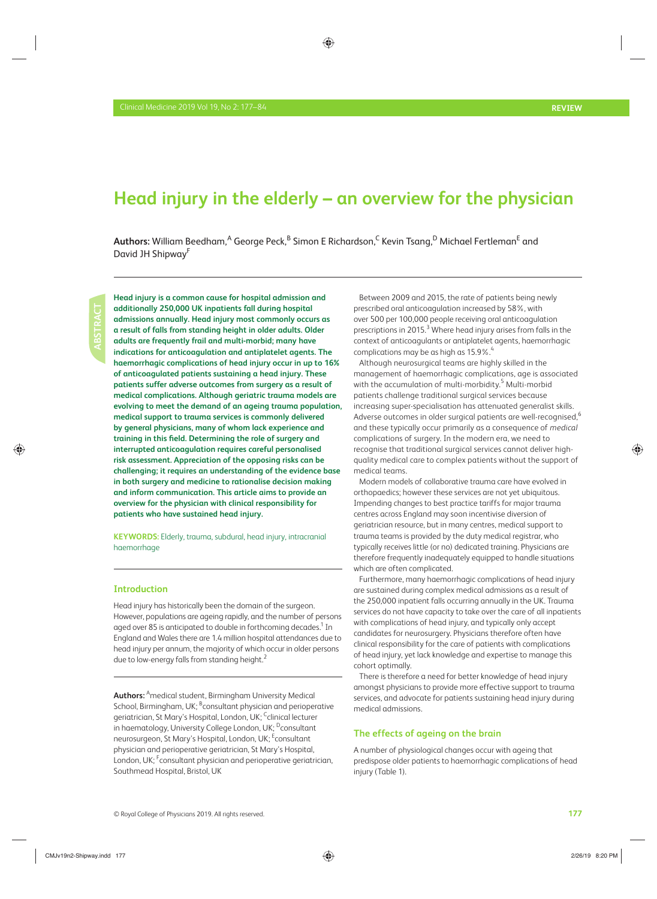# **Head injury in the elderly – an overview for the physician**

 $\bm{\mathsf{Aut}$ hors: William Beedham, $^\mathsf{A}$  George Peck, $^\mathsf{B}$  Simon E Richardson, $^\mathsf{C}$  Kevin Tsang, $^\mathsf{D}$  Michael Fertleman $^\mathsf{E}$  and David JH Shipway<sup>F</sup>

 **Head injury is a common cause for hospital admission and additionally 250,000 UK inpatients fall during hospital admissions annually. Head injury most commonly occurs as a result of falls from standing height in older adults. Older adults are frequently frail and multi-morbid; many have indications for anticoagulation and antiplatelet agents. The haemorrhagic complications of head injury occur in up to 16% of anticoagulated patients sustaining a head injury. These patients suffer adverse outcomes from surgery as a result of medical complications. Although geriatric trauma models are evolving to meet the demand of an ageing trauma population, medical support to trauma services is commonly delivered by general physicians, many of whom lack experience and**  training in this field. Determining the role of surgery and **interrupted anticoagulation requires careful personalised risk assessment. Appreciation of the opposing risks can be challenging; it requires an understanding of the evidence base in both surgery and medicine to rationalise decision making and inform communication. This article aims to provide an overview for the physician with clinical responsibility for patients who have sustained head injury.** 

**KEYWORDS:** Elderly, trauma, subdural, head injury, intracranial haemorrhage

# **Introduction**

 Head injury has historically been the domain of the surgeon. However, populations are ageing rapidly, and the number of persons aged over 85 is anticipated to double in forthcoming decades. $^{\rm 1}$  In England and Wales there are 1.4 million hospital attendances due to head injury per annum, the majority of which occur in older persons due to low-energy falls from standing height.<sup>2</sup>

 **Authors:** A medical student, Birmingham University Medical School, Birmingham, UK; <sup>B</sup>consultant physician and perioperative geriatrician, St Mary's Hospital, London, UK; <sup>C</sup>clinical lecturer in haematology, University College London, UK; <sup>D</sup>consultant neurosurgeon, St Mary's Hospital, London, UK; <sup>E</sup>consultant physician and perioperative geriatrician, St Mary's Hospital, London, UK;  $\ulcorner$  consultant physician and perioperative geriatrician, Southmead Hospital, Bristol, UK

 Between 2009 and 2015, the rate of patients being newly prescribed oral anticoagulation increased by 58%, with over 500 per 100,000 people receiving oral anticoagulation prescriptions in 2015.<sup>3</sup> Where head injury arises from falls in the context of anticoagulants or antiplatelet agents, haemorrhagic complications may be as high as 15.9%.<sup>4</sup>

 Although neurosurgical teams are highly skilled in the management of haemorrhagic complications, age is associated with the accumulation of multi-morbidity.<sup>5</sup> Multi-morbid patients challenge traditional surgical services because increasing super-specialisation has attenuated generalist skills. Adverse outcomes in older surgical patients are well-recognised,<sup>6</sup> and these typically occur primarily as a consequence of *medical* complications of surgery. In the modern era, we need to recognise that traditional surgical services cannot deliver highquality medical care to complex patients without the support of medical teams.

 Modern models of collaborative trauma care have evolved in orthopaedics; however these services are not yet ubiquitous. Impending changes to best practice tariffs for major trauma centres across England may soon incentivise diversion of geriatrician resource, but in many centres, medical support to trauma teams is provided by the duty medical registrar *,* who typically receives little (or no) dedicated training. Physicians are therefore frequently inadequately equipped to handle situations which are often complicated.

 Furthermore, many haemorrhagic complications of head injury are sustained during complex medical admissions as a result of the 250,000 inpatient falls occurring annually in the UK. Trauma services do not have capacity to take over the care of all inpatients with complications of head injury, and typically only accept candidates for neurosurgery. Physicians therefore often have clinical responsibility for the care of patients with complications of head injury, yet lack knowledge and expertise to manage this cohort optimally.

 There is therefore a need for better knowledge of head injury amongst physicians to provide more effective support to trauma services, and advocate for patients sustaining head injury during medical admissions.

# **The effects of ageing on the brain**

 A number of physiological changes occur with ageing that predispose older patients to haemorrhagic complications of head injury (Table 1).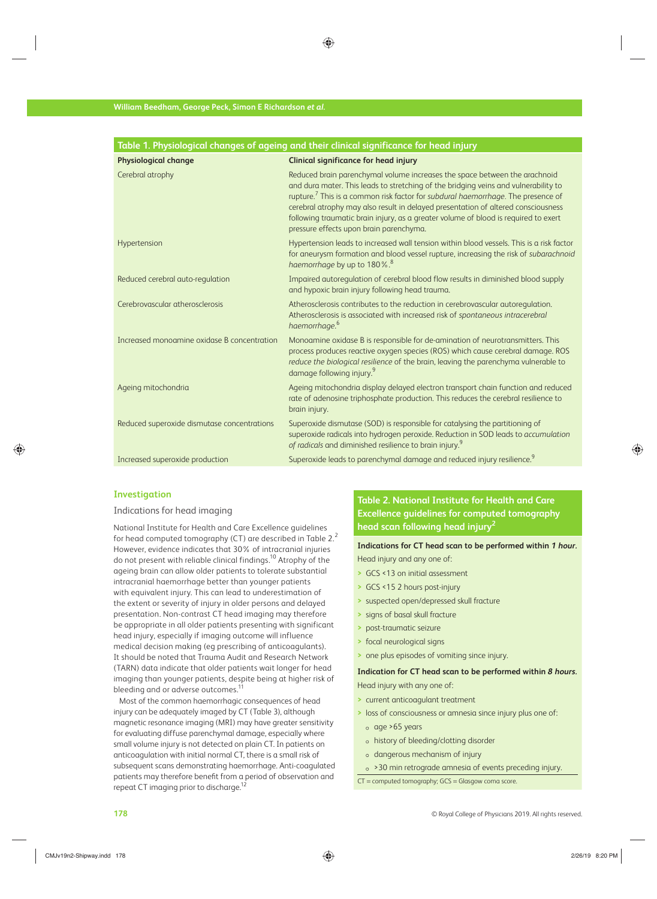| Table 1. Physiological changes of ageing and their clinical significance for head injury |                                                                                                                                                                                                                                                                                                                                                                                                                                                                                          |  |
|------------------------------------------------------------------------------------------|------------------------------------------------------------------------------------------------------------------------------------------------------------------------------------------------------------------------------------------------------------------------------------------------------------------------------------------------------------------------------------------------------------------------------------------------------------------------------------------|--|
| <b>Physiological change</b>                                                              | <b>Clinical significance for head injury</b>                                                                                                                                                                                                                                                                                                                                                                                                                                             |  |
| Cerebral atrophy                                                                         | Reduced brain parenchymal volume increases the space between the arachnoid<br>and dura mater. This leads to stretching of the bridging veins and vulnerability to<br>rupture. <sup>7</sup> This is a common risk factor for subdural haemorrhage. The presence of<br>cerebral atrophy may also result in delayed presentation of altered consciousness<br>following traumatic brain injury, as a greater volume of blood is required to exert<br>pressure effects upon brain parenchyma. |  |
| Hypertension                                                                             | Hypertension leads to increased wall tension within blood vessels. This is a risk factor<br>for aneurysm formation and blood vessel rupture, increasing the risk of subarachnoid<br>haemorrhage by up to 180%. <sup>8</sup>                                                                                                                                                                                                                                                              |  |
| Reduced cerebral auto-regulation                                                         | Impaired autoregulation of cerebral blood flow results in diminished blood supply<br>and hypoxic brain injury following head trauma.                                                                                                                                                                                                                                                                                                                                                     |  |
| Cerebrovascular atherosclerosis                                                          | Atherosclerosis contributes to the reduction in cerebrovascular autoregulation.<br>Atherosclerosis is associated with increased risk of spontaneous intracerebral<br>haemorrhage. <sup>6</sup>                                                                                                                                                                                                                                                                                           |  |
| Increased monoamine oxidase B concentration                                              | Monoamine oxidase B is responsible for de-amination of neurotransmitters. This<br>process produces reactive oxygen species (ROS) which cause cerebral damage. ROS<br>reduce the biological resilience of the brain, leaving the parenchyma vulnerable to<br>damage following injury. <sup>9</sup>                                                                                                                                                                                        |  |
| Ageing mitochondria                                                                      | Ageing mitochondria display delayed electron transport chain function and reduced<br>rate of adenosine triphosphate production. This reduces the cerebral resilience to<br>brain injury.                                                                                                                                                                                                                                                                                                 |  |
| Reduced superoxide dismutase concentrations                                              | Superoxide dismutase (SOD) is responsible for catalysing the partitioning of<br>superoxide radicals into hydrogen peroxide. Reduction in SOD leads to accumulation<br>of radicals and diminished resilience to brain injury. <sup>9</sup>                                                                                                                                                                                                                                                |  |
| Increased superoxide production                                                          | Superoxide leads to parenchymal damage and reduced injury resilience. <sup>9</sup>                                                                                                                                                                                                                                                                                                                                                                                                       |  |

# **Investigation**

#### Indications for head imaging

 National Institute for Health and Care Excellence guidelines for head computed tomography (CT) are described in Table  $2<sup>2</sup>$ However, evidence indicates that 30% of intracranial injuries do not present with reliable clinical findings.<sup>10</sup> Atrophy of the ageing brain can allow older patients to tolerate substantial intracranial haemorrhage better than younger patients with equivalent injury. This can lead to underestimation of the extent or severity of injury in older persons and delayed presentation. Non-contrast CT head imaging may therefore be appropriate in all older patients presenting with significant head injury, especially if imaging outcome will influence medical decision making (eg prescribing of anticoagulants). It should be noted that Trauma Audit and Research Network (TARN) data indicate that older patients wait longer for head imaging than younger patients, despite being at higher risk of bleeding and or adverse outcomes.<sup>1</sup>

 Most of the common haemorrhagic consequences of head injury can be adequately imaged by CT (Table 3), although magnetic resonance imaging (MRI) may have greater sensitivity for evaluating diffuse parenchymal damage, especially where small volume injury is not detected on plain CT. In patients on anticoagulation with initial normal CT, there is a small risk of subsequent scans demonstrating haemorrhage. Anti-coagulated patients may therefore benefit from a period of observation and repeat CT imaging prior to discharge.<sup>1</sup>

# **Table 2. National Institute for Health and Care Excellence guidelines for computed tomography head scan following head injury 2**

**Indications for CT head scan to be performed within** *1 hour.* Head injury and any one of:

- **>** GCS <13 on initial assessment
- **>** GCS <15 2 hours post-injury
- **>** suspected open/depressed skull fracture
- **>** signs of basal skull fracture
- **>** post-traumatic seizure
- **>** focal neurological signs
- **>** one plus episodes of vomiting since injury.

# **Indication for CT head scan to be performed within** *8 hours.* Head injury with any one of:

- **>** current anticoagulant treatment
- **>** loss of consciousness or amnesia since injury plus one of:
	- $\circ$  age >65 years
- history of bleeding/clotting disorder
- dangerous mechanism of injury
- >30 min retrograde amnesia of events preceding injury.
- CT = computed tomography; GCS = Glasgow coma score.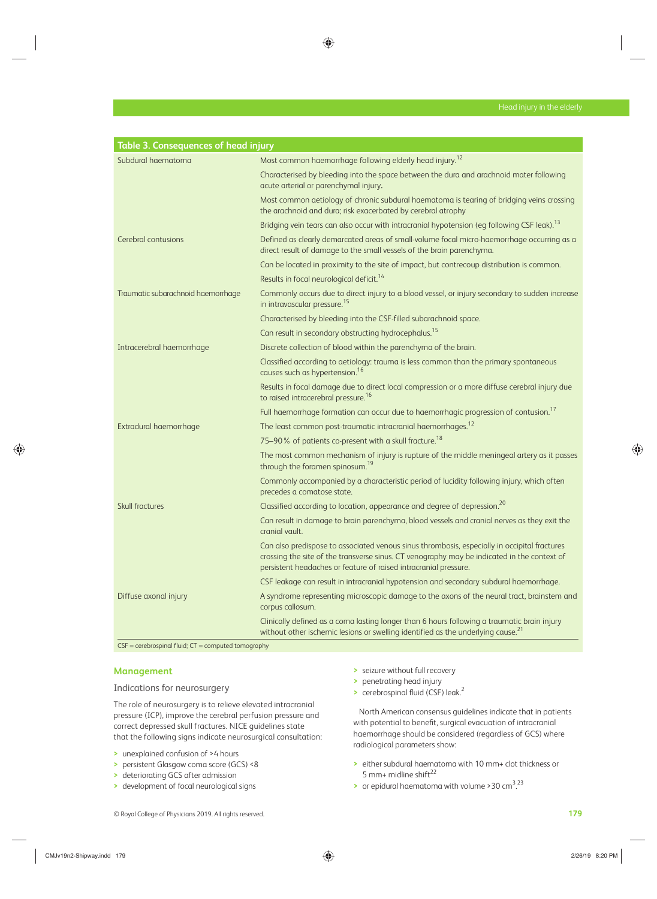| Table 3. Consequences of head injury |                                                                                                                                                                                                                                                                 |
|--------------------------------------|-----------------------------------------------------------------------------------------------------------------------------------------------------------------------------------------------------------------------------------------------------------------|
| Subdural haematoma                   | Most common haemorrhage following elderly head injury. <sup>12</sup>                                                                                                                                                                                            |
|                                      | Characterised by bleeding into the space between the dura and arachnoid mater following<br>acute arterial or parenchymal injury.                                                                                                                                |
|                                      | Most common aetiology of chronic subdural haematoma is tearing of bridging veins crossing<br>the arachnoid and dura; risk exacerbated by cerebral atrophy                                                                                                       |
|                                      | Bridging vein tears can also occur with intracranial hypotension (eg following CSF leak). <sup>13</sup>                                                                                                                                                         |
| Cerebral contusions                  | Defined as clearly demarcated areas of small-volume focal micro-haemorrhage occurring as a<br>direct result of damage to the small vessels of the brain parenchyma.                                                                                             |
|                                      | Can be located in proximity to the site of impact, but contrecoup distribution is common.                                                                                                                                                                       |
|                                      | Results in focal neurological deficit. <sup>14</sup>                                                                                                                                                                                                            |
| Traumatic subarachnoid haemorrhage   | Commonly occurs due to direct injury to a blood vessel, or injury secondary to sudden increase<br>in intravascular pressure. <sup>15</sup>                                                                                                                      |
|                                      | Characterised by bleeding into the CSF-filled subarachnoid space.                                                                                                                                                                                               |
|                                      | Can result in secondary obstructing hydrocephalus. <sup>15</sup>                                                                                                                                                                                                |
| Intracerebral haemorrhage            | Discrete collection of blood within the parenchyma of the brain.                                                                                                                                                                                                |
|                                      | Classified according to aetiology: trauma is less common than the primary spontaneous<br>causes such as hypertension. <sup>16</sup>                                                                                                                             |
|                                      | Results in focal damage due to direct local compression or a more diffuse cerebral injury due<br>to raised intracerebral pressure. <sup>16</sup>                                                                                                                |
|                                      | Full haemorrhage formation can occur due to haemorrhagic progression of contusion. <sup>17</sup>                                                                                                                                                                |
| Extradural haemorrhage               | The least common post-traumatic intracranial haemorrhages. <sup>12</sup>                                                                                                                                                                                        |
|                                      | 75-90% of patients co-present with a skull fracture. <sup>18</sup>                                                                                                                                                                                              |
|                                      | The most common mechanism of injury is rupture of the middle meningeal artery as it passes<br>through the foramen spinosum. <sup>19</sup>                                                                                                                       |
|                                      | Commonly accompanied by a characteristic period of lucidity following injury, which often<br>precedes a comatose state.                                                                                                                                         |
| <b>Skull fractures</b>               | Classified according to location, appearance and degree of depression. <sup>20</sup>                                                                                                                                                                            |
|                                      | Can result in damage to brain parenchyma, blood vessels and cranial nerves as they exit the<br>cranial vault.                                                                                                                                                   |
|                                      | Can also predispose to associated venous sinus thrombosis, especially in occipital fractures<br>crossing the site of the transverse sinus. CT venography may be indicated in the context of<br>persistent headaches or feature of raised intracranial pressure. |
|                                      | CSF leakage can result in intracranial hypotension and secondary subdural haemorrhage.                                                                                                                                                                          |
| Diffuse axonal injury                | A syndrome representing microscopic damage to the axons of the neural tract, brainstem and<br>corpus callosum.                                                                                                                                                  |
|                                      | Clinically defined as a coma lasting longer than 6 hours following a traumatic brain injury<br>without other ischemic lesions or swelling identified as the underlying cause. <sup>21</sup>                                                                     |
|                                      |                                                                                                                                                                                                                                                                 |

#### $CSF = cerebrospinal fluid; CT = computed tomography$

### **Management**

# Indications for neurosurgery

 The role of neurosurgery is to relieve elevated intracranial pressure (ICP), improve the cerebral perfusion pressure and correct depressed skull fractures. NICE guidelines state that the following signs indicate neurosurgical consultation:

- **>** unexplained confusion of >4 hours
- **>** persistent Glasgow coma score (GCS) <8
- **>** deteriorating GCS after admission
- **>** development of focal neurological signs
- **>** seizure without full recovery
- **>** penetrating head injury
- **>** cerebrospinal fluid (CSF) leak.<sup>2</sup>

 North American consensus guidelines indicate that in patients with potential to benefit, surgical evacuation of intracranial haemorrhage should be considered (regardless of GCS) where radiological parameters show:

- **>** either subdural haematoma with 10 mm+ clot thickness or 5 mm+ midline shift 22
- > or epidural haematoma with volume > 30 cm<sup>3,23</sup>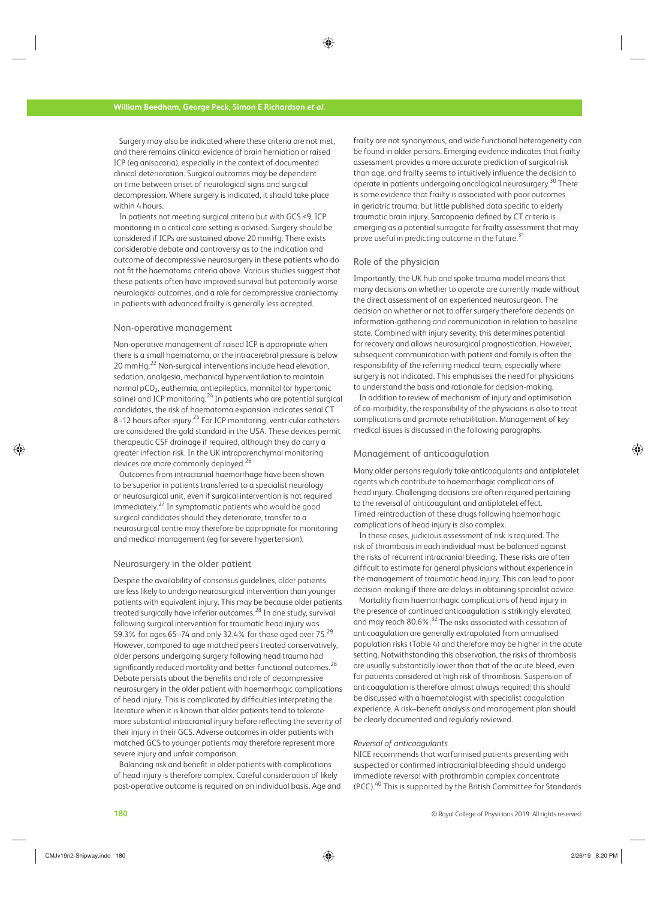Surgery may also be indicated where these criteria are not met, and there remains clinical evidence of brain herniation or raised ICP (eg anisocoria), especially in the context of documented clinical deterioration. Surgical outcomes may be dependent on time between onset of neurological signs and surgical decompression. Where surgery is indicated, it should take place within 4 hours.

 In patients not meeting surgical criteria but with GCS <9, ICP monitoring in a critical care setting is advised. Surgery should be considered if ICPs are sustained above 20 mmHg. There exists considerable debate and controversy as to the indication and outcome of decompressive neurosurgery in these patients who do not fit the haematoma criteria above. Various studies suggest that these patients often have improved survival but potentially worse neurological outcomes, and a role for decompressive craniectomy in patients with advanced frailty is generally less accepted.

#### Non-operative management

 Non-operative management of raised ICP is appropriate when there is a small haematoma, or the intracerebral pressure is below 20 mmHg.<sup>22</sup> Non-surgical interventions include head elevation, sedation, analgesia, mechanical hyperventilation to maintain normal pCO<sub>2</sub>, euthermia, antiepileptics, mannitol (or hypertonic saline) and ICP monitoring. $24$  In patients who are potential surgical candidates, the risk of haematoma expansion indicates serial CT 8–12 hours after injury.<sup>25</sup> For ICP monitoring, ventricular catheters are considered the gold standard in the USA. These devices permit therapeutic CSF drainage if required, although they do carry a greater infection risk. In the UK intraparenchymal monitoring devices are more commonly deployed.<sup>26</sup>

 Outcomes from intracranial haemorrhage have been shown to be superior in patients transferred to a specialist neurology or neurosurgical unit, even if surgical intervention is not required immediately. 27 In symptomatic patients who would be good surgical candidates should they deteriorate, transfer to a neurosurgical centre may therefore be appropriate for monitoring and medical management (eg for severe hypertension).

#### Neurosurgery in the older patient

 Despite the availability of consensus guidelines, older patients are less likely to undergo neurosurgical intervention than younger patients with equivalent injury. This may be because older patients treated surgically have inferior outcomes.<sup>28</sup> In one study, survival following surgical intervention for traumatic head injury was 59.3% for ages 65–74 and only 32.4% for those aged over 75. 29 However, compared to age matched peers treated conservatively, older persons undergoing surgery following head trauma had significantly reduced mortality and better functional outcomes.  $^{28}$ Debate persists about the benefits and role of decompressive neurosurgery in the older patient with haemorrhagic complications of head injury. This is complicated by difficulties interpreting the literature when it is known that older patients tend to tolerate more substantial intracranial injury before reflecting the severity of their injury in their GCS. Adverse outcomes in older patients with matched GCS to younger patients may therefore represent more severe injury and unfair comparison.

 Balancing risk and benefit in older patients with complications of head injury is therefore complex. Careful consideration of likely post-operative outcome is required on an individual basis. Age and frailty are not synonymous, and wide functional heterogeneity can be found in older persons. Emerging evidence indicates that frailty assessment provides a more accurate prediction of surgical risk than age, and frailty seems to intuitively influence the decision to operate in patients undergoing oncological neurosurgery.<sup>30</sup> There is some evidence that frailty is associated with poor outcomes in geriatric trauma, but little published data specific to elderly traumatic brain injury. Sarcopaenia defined by CT criteria is emerging as a potential surrogate for frailty assessment that may prove useful in predicting outcome in the future.<sup>31</sup>

#### Role of the physician

 Importantly, the UK hub and spoke trauma model means that many decisions on whether to operate are currently made without the direct assessment of an experienced neurosurgeon. The decision on whether or not to offer surgery therefore depends on information-gathering and communication in relation to baseline state. Combined with injury severity, this determines potential for recovery and allows neurosurgical prognostication. However, subsequent communication with patient and family is often the responsibility of the referring medical team, especially where surgery is not indicated. This emphasises the need for physicians to understand the basis and rationale for decision-making.

 In addition to review of mechanism of injury and optimisation of co-morbidity, the responsibility of the physicians is also to treat complications and promote rehabilitation. Management of key medical issues is discussed in the following paragraphs.

#### Management of anticoagulation

 Many older persons regularly take anticoagulants and antiplatelet agents which contribute to haemorrhagic complications of head injury. Challenging decisions are often required pertaining to the reversal of anticoagulant and antiplatelet effect. Timed reintroduction of these drugs following haemorrhagic complications of head injury is also complex.

 In these cases, judicious assessment of risk is required. The risk of thrombosis in each individual must be balanced against the risks of recurrent intracranial bleeding. These risks are often difficult to estimate for general physicians without experience in the management of traumatic head injury. This can lead to poor decision-making if there are delays in obtaining specialist advice.

 Mortality from haemorrhagic complications of head injury in the presence of continued anticoagulation is strikingly elevated, and may reach 80.6%.<sup>32</sup> The risks associated with cessation of anticoagulation are generally extrapolated from annualised population risks (Table 4) and therefore may be higher in the acute setting. Notwithstanding this observation, the risks of thrombosis are usually substantially lower than that of the acute bleed, even for patients considered at high risk of thrombosis. Suspension of anticoagulation is therefore almost always required; this should be discussed with a haematologist with specialist coagulation experience. A risk–benefit analysis and management plan should be clearly documented and regularly reviewed.

#### *Reversal of anticoagulants*

 NICE recommends that warfarinised patients presenting with suspected or confirmed intracranial bleeding should undergo immediate reversal with prothrombin complex concentrate (PCC). 40 This is supported by the British Committee for Standards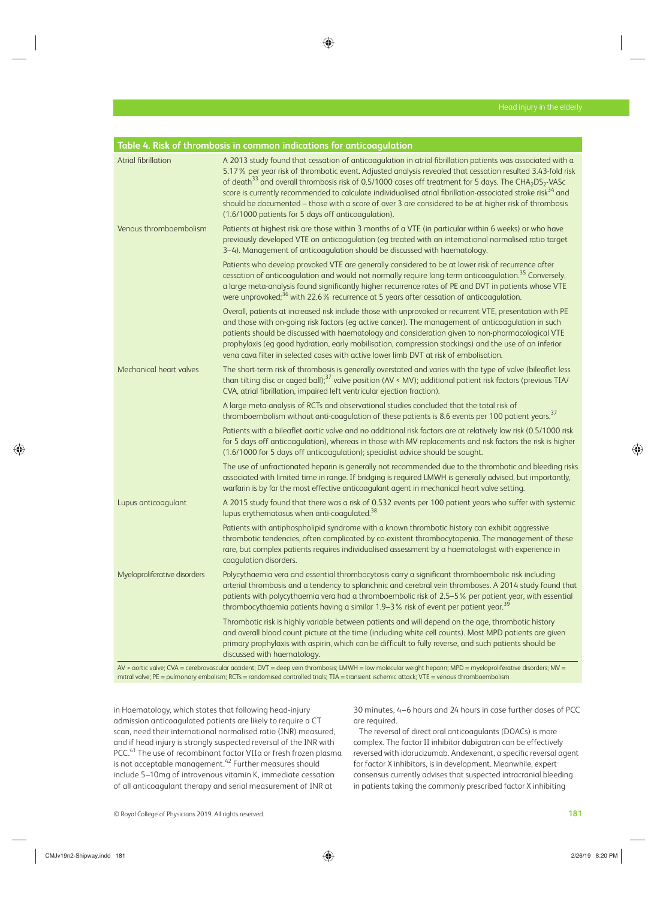|                              | Table 4. Risk of thrombosis in common indications for anticoagulation                                                                                                                                                                                                                                                                                                                                                                                                                                                                                                                                                                                            |  |  |
|------------------------------|------------------------------------------------------------------------------------------------------------------------------------------------------------------------------------------------------------------------------------------------------------------------------------------------------------------------------------------------------------------------------------------------------------------------------------------------------------------------------------------------------------------------------------------------------------------------------------------------------------------------------------------------------------------|--|--|
| <b>Atrial fibrillation</b>   | A 2013 study found that cessation of anticoagulation in atrial fibrillation patients was associated with a<br>5.17% per year risk of thrombotic event. Adjusted analysis revealed that cessation resulted 3.43-fold risk<br>of death <sup>33</sup> and overall thrombosis risk of 0.5/1000 cases off treatment for 5 days. The CHA <sub>2</sub> DS <sub>2</sub> -VASc<br>score is currently recommended to calculate individualised atrial fibrillation-associated stroke risk <sup>34</sup> and<br>should be documented - those with a score of over 3 are considered to be at higher risk of thrombosis<br>(1.6/1000 patients for 5 days off anticoagulation). |  |  |
| Venous thromboembolism       | Patients at highest risk are those within 3 months of a VTE (in particular within 6 weeks) or who have<br>previously developed VTE on anticoagulation (eg treated with an international normalised ratio target<br>3-4). Management of anticoagulation should be discussed with haematology.                                                                                                                                                                                                                                                                                                                                                                     |  |  |
|                              | Patients who develop provoked VTE are generally considered to be at lower risk of recurrence after<br>cessation of anticoagulation and would not normally require long-term anticoagulation. <sup>35</sup> Conversely,<br>a large meta-analysis found significantly higher recurrence rates of PE and DVT in patients whose VTE<br>were unprovoked; <sup>36</sup> with 22.6% recurrence at 5 years after cessation of anticoagulation.                                                                                                                                                                                                                           |  |  |
|                              | Overall, patients at increased risk include those with unprovoked or recurrent VTE, presentation with PE<br>and those with on-going risk factors (eg active cancer). The management of anticoagulation in such<br>patients should be discussed with haematology and consideration given to non-pharmacological VTE<br>prophylaxis (eg good hydration, early mobilisation, compression stockings) and the use of an inferior<br>vena cava filter in selected cases with active lower limb DVT at risk of embolisation.                                                                                                                                            |  |  |
| Mechanical heart valves      | The short-term risk of thrombosis is generally overstated and varies with the type of valve (bileaflet less<br>than tilting disc or caged ball), <sup>37</sup> valve position (AV < MV); additional patient risk factors (previous TIA/<br>CVA, atrial fibrillation, impaired left ventricular ejection fraction).                                                                                                                                                                                                                                                                                                                                               |  |  |
|                              | A large meta-analysis of RCTs and observational studies concluded that the total risk of<br>thromboembolism without anti-coagulation of these patients is 8.6 events per 100 patient years. <sup>37</sup>                                                                                                                                                                                                                                                                                                                                                                                                                                                        |  |  |
|                              | Patients with a bileaflet aortic valve and no additional risk factors are at relatively low risk (0.5/1000 risk<br>for 5 days off anticoagulation), whereas in those with MV replacements and risk factors the risk is higher<br>(1.6/1000 for 5 days off anticoagulation); specialist advice should be sought.                                                                                                                                                                                                                                                                                                                                                  |  |  |
|                              | The use of unfractionated heparin is generally not recommended due to the thrombotic and bleeding risks<br>associated with limited time in range. If bridging is required LMWH is generally advised, but importantly,<br>warfarin is by far the most effective anticoagulant agent in mechanical heart valve setting.                                                                                                                                                                                                                                                                                                                                            |  |  |
| Lupus anticoagulant          | A 2015 study found that there was a risk of 0.532 events per 100 patient years who suffer with systemic<br>lupus erythematosus when anti-coagulated. <sup>38</sup>                                                                                                                                                                                                                                                                                                                                                                                                                                                                                               |  |  |
|                              | Patients with antiphospholipid syndrome with a known thrombotic history can exhibit aggressive<br>thrombotic tendencies, often complicated by co-existent thrombocytopenia. The management of these<br>rare, but complex patients requires individualised assessment by a haematologist with experience in<br>coagulation disorders.                                                                                                                                                                                                                                                                                                                             |  |  |
| Myeloproliferative disorders | Polycythaemia vera and essential thrombocytosis carry a significant thromboembolic risk including<br>arterial thrombosis and a tendency to splanchnic and cerebral vein thromboses. A 2014 study found that<br>patients with polycythaemia vera had a thromboembolic risk of 2.5–5% per patient year, with essential<br>thrombocythaemia patients having a similar 1.9-3% risk of event per patient year. <sup>39</sup>                                                                                                                                                                                                                                          |  |  |
|                              | Thrombotic risk is highly variable between patients and will depend on the age, thrombotic history<br>and overall blood count picture at the time (including white cell counts). Most MPD patients are given<br>primary prophylaxis with aspirin, which can be difficult to fully reverse, and such patients should be<br>discussed with haematology.                                                                                                                                                                                                                                                                                                            |  |  |

 AV = aortic valve; CVA = cerebrovascular accident; DVT = deep vein thrombosis; LMWH = low molecular weight heparin; MPD = myeloproliferative disorders; MV = mitral valve; PE = pulmonary embolism; RCTs = randomised controlled trials; TIA = transient ischemic attack; VTE = venous thromboembolism

in Haematology, which states that following head-injury admission anticoagulated patients are likely to require a CT scan, need their international normalised ratio (INR) measured, and if head injury is strongly suspected reversal of the INR with PCC.<sup>41</sup> The use of recombinant factor VIIa or fresh frozen plasma is not acceptable management. 42 Further measures should include 5–10mg of intravenous vitamin K, immediate cessation of all anticoagulant therapy and serial measurement of INR at

30 minutes, 4–6 hours and 24 hours in case further doses of PCC are required.

 The reversal of direct oral anticoagulants (DOACs) is more complex. The factor II inhibitor dabigatran can be effectively reversed with idarucizumab. Andexenant, a specific reversal agent for factor X inhibitors, is in development. Meanwhile, expert consensus currently advises that suspected intracranial bleeding in patients taking the commonly prescribed factor X inhibiting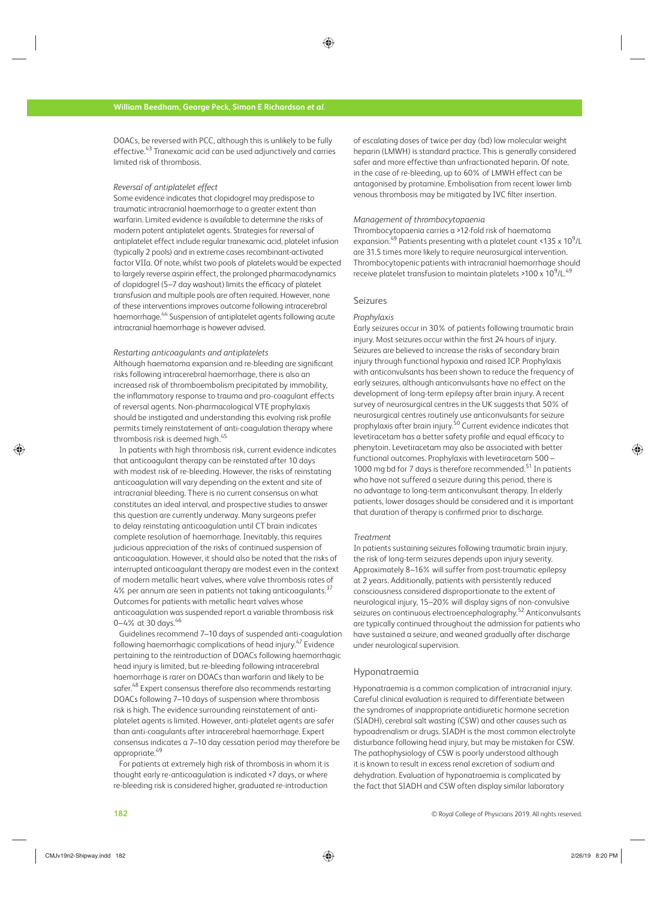DOACs, be reversed with PCC, although this is unlikely to be fully effective. 43 Tranexamic acid can be used adjunctively and carries limited risk of thrombosis.

#### *Reversal of antiplatelet effect*

 Some evidence indicates that clopidogrel may predispose to traumatic intracranial haemorrhage to a greater extent than warfarin. Limited evidence is available to determine the risks of modern potent antiplatelet agents. Strategies for reversal of antiplatelet effect include regular tranexamic acid, platelet infusion (typically 2 pools) and in extreme cases recombinant-activated factor VIIa. Of note, whilst two pools of platelets would be expected to largely reverse aspirin effect, the prolonged pharmacodynamics of clopidogrel (5–7 day washout) limits the efficacy of platelet transfusion and multiple pools are often required. However, none of these interventions improves outcome following intracerebral haemorrhage.<sup>44</sup> Suspension of antiplatelet agents following acute intracranial haemorrhage is however advised.

#### *Restarting anticoagulants and antiplatelets*

 Although haematoma expansion and re-bleeding are significant risks following intracerebral haemorrhage, there is also an increased risk of thromboembolism precipitated by immobility, the inflammatory response to trauma and pro-coagulant effects of reversal agents. Non-pharmacological VTE prophylaxis should be instigated and understanding this evolving risk profile permits timely reinstatement of anti-coagulation therapy where thrombosis risk is deemed high.<sup>45</sup>

 In patients with high thrombosis risk, current evidence indicates that anticoagulant therapy can be reinstated after 10 days with modest risk of re-bleeding. However, the risks of reinstating anticoagulation will vary depending on the extent and site of intracranial bleeding. There is no current consensus on what constitutes an ideal interval, and prospective studies to answer this question are currently underway. Many surgeons prefer to delay reinstating anticoagulation until CT brain indicates complete resolution of haemorrhage. Inevitably, this requires judicious appreciation of the risks of continued suspension of anticoagulation. However, it should also be noted that the risks of interrupted anticoagulant therapy are modest even in the context of modern metallic heart valves, where valve thrombosis rates of 4% per annum are seen in patients not taking anticoagulants.<sup>37</sup> Outcomes for patients with metallic heart valves whose anticoagulation was suspended report a variable thrombosis risk 0–4% at 30 days.<sup>46</sup>

 Guidelines recommend 7–10 days of suspended anti-coagulation following haemorrhagic complications of head injury.<sup>47</sup> Evidence pertaining to the reintroduction of DOACs following haemorrhagic head injury is limited, but re-bleeding following intracerebral haemorrhage is rarer on DOACs than warfarin and likely to be safer.<sup>48</sup> Expert consensus therefore also recommends restarting DOACs following 7–10 days of suspension where thrombosis risk is high. The evidence surrounding reinstatement of antiplatelet agents is limited. However, anti-platelet agents are safer than anti-coagulants after intracerebral haemorrhage. Expert consensus indicates a 7–10 day cessation period may therefore be appropriate.<sup>49</sup>

 For patients at extremely high risk of thrombosis in whom it is thought early re-anticoagulation is indicated <7 days, or where re-bleeding risk is considered higher, graduated re-introduction

of escalating doses of twice per day (bd) low molecular weight heparin (LMWH) is standard practice. This is generally considered safer and more effective than unfractionated heparin. Of note, in the case of re-bleeding, up to 60% of LMWH effect can be antagonised by protamine. Embolisation from recent lower limb venous thrombosis may be mitigated by IVC filter insertion.

#### *Management of thrombocytopaenia*

 Thrombocytopaenia carries a >12-fold risk of haematoma expansion.<sup>49</sup> Patients presenting with a platelet count <135 x  $10^9$ /L are 31.5 times more likely to require neurosurgical intervention. Thrombocytopenic patients with intracranial haemorrhage should receive platelet transfusion to maintain platelets >100 x  $10^9$ /L. $^{49}$ 

#### Seizures

#### *Prophylaxis*

 Early seizures occur in 30% of patients following traumatic brain injury. Most seizures occur within the first 24 hours of injury. Seizures are believed to increase the risks of secondary brain injury through functional hypoxia and raised ICP. Prophylaxis with anticonvulsants has been shown to reduce the frequency of early seizures, although anticonvulsants have no effect on the development of long-term epilepsy after brain injury. A recent survey of neurosurgical centres in the UK suggests that 50% of neurosurgical centres routinely use anticonvulsants for seizure prophylaxis after brain injury.<sup>50</sup> Current evidence indicates that levetiracetam has a better safety profile and equal efficacy to phenytoin. Levetiracetam may also be associated with better functional outcomes. Prophylaxis with levetiracetam 500 – 1000 mg bd for 7 days is therefore recommended.<sup>51</sup> In patients who have not suffered a seizure during this period, there is no advantage to long-term anticonvulsant therapy. In elderly patients, lower dosages should be considered and it is important that duration of therapy is confirmed prior to discharge.

#### *Treatment*

 In patients sustaining seizures following traumatic brain injury, the risk of long-term seizures depends upon injury severity. Approximately 8–16% will suffer from post-traumatic epilepsy at 2 years. Additionally, patients with persistently reduced consciousness considered disproportionate to the extent of neurological injury, 15–20% will display signs of non-convulsive seizures on continuous electroencephalography.<sup>52</sup> Anticonvulsants are typically continued throughout the admission for patients who have sustained a seizure, and weaned gradually after discharge under neurological supervision.

#### Hyponatraemia

 Hyponatraemia is a common complication of intracranial injury. Careful clinical evaluation is required to differentiate between the syndromes of inappropriate antidiuretic hormone secretion (SIADH), cerebral salt wasting (CSW) and other causes such as hypoadrenalism or drugs. SIADH is the most common electrolyte disturbance following head injury, but may be mistaken for CSW. The pathophysiology of CSW is poorly understood although it is known to result in excess renal excretion of sodium and dehydration. Evaluation of hyponatraemia is complicated by the fact that SIADH and CSW often display similar laboratory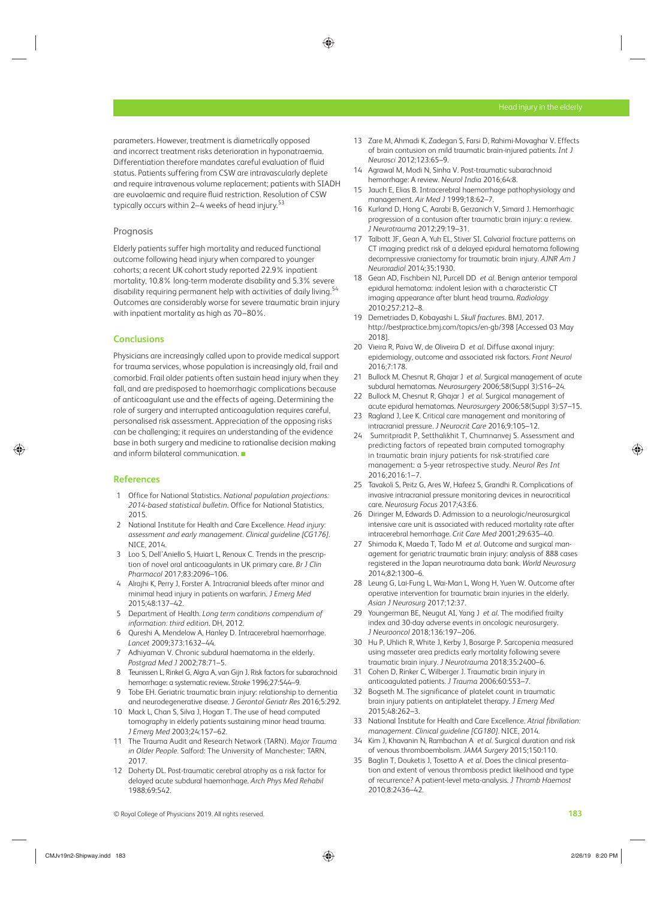parameters. However, treatment is diametrically opposed and incorrect treatment risks deterioration in hyponatraemia. Differentiation therefore mandates careful evaluation of fluid status. Patients suffering from CSW are intravascularly deplete and require intravenous volume replacement; patients with SIADH are euvolaemic and require fluid restriction. Resolution of CSW typically occurs within 2–4 weeks of head injury.<sup>53</sup>

#### Prognosis

 Elderly patients suffer high mortality and reduced functional outcome following head injury when compared to younger cohorts; a recent UK cohort study reported 22.9% inpatient mortality, 10.8% long-term moderate disability and 5.3% severe disability requiring permanent help with activities of daily living.<sup>54</sup> Outcomes are considerably worse for severe traumatic brain injury with inpatient mortality as high as 70–80%.

#### **Conclusions**

 Physicians are increasingly called upon to provide medical support for trauma services, whose population is increasingly old, frail and comorbid. Frail older patients often sustain head injury when they fall, and are predisposed to haemorrhagic complications because of anticoagulant use and the effects of ageing. Determining the role of surgery and interrupted anticoagulation requires careful, personalised risk assessment. Appreciation of the opposing risks can be challenging; it requires an understanding of the evidence base in both surgery and medicine to rationalise decision making and inform bilateral communication. ■

# **References**

- 1 Office for National Statistics . *National population projections:*  2014-based statistical bulletin. Office for National Statistics, 2015 .
- 2 National Institute for Health and Care Excellence . *Head injury: assessment and early management. Clinical guideline [CG176]* . NICE 2014
- 3 Loo S, Dell'Aniello S, Huiart L, Renoux C. Trends in the prescription of novel oral anticoagulants in UK primary care . *Br J Clin*  Pharmacol 2017;83:2096-106.
- 4 Alrajhi K, Perry J, Forster A. Intracranial bleeds after minor and minimal head injury in patients on warfarin . *J Emerg Med* 2015; 48: 137 - 42.
- 5 Department of Health . *Long term conditions compendium of*  information: third edition. DH, 2012.
- 6 Qureshi A, Mendelow A, Hanley D. Intracerebral haemorrhage. Lancet 2009;373:1632-44.
- 7 Adhiyaman V. Chronic subdural haematoma in the elderly. Postgrad Med J 2002;78:71-5.
- 8 Teunissen L, Rinkel G, Algra A, van Gijn J. Risk factors for subarachnoid hemorrhage: a systematic review. Stroke 1996;27:544-9.
- 9 Tobe EH. Geriatric traumatic brain injury: relationship to dementia and neurodegenerative disease. *J Gerontol Geriatr Res* 2016;5:292.
- 10 Mack L, Chan S, Silva J, Hogan T. The use of head computed tomography in elderly patients sustaining minor head trauma. *J Emerg Med* 2003;24:157-62.
- 11 The Trauma Audit and Research Network (TARN) . *Major Trauma in Older People*. Salford: The University of Manchester; TARN, 2017.
- 12 Doherty DL. Post-traumatic cerebral atrophy as a risk factor for delayed acute subdural haemorrhage . *Arch Phys Med Rehabil* 1988;69:542.
- 13 Zare M, Ahmadi K, Zadegan S, Farsi D, Rahimi-Movaghar V. Effects of brain contusion on mild traumatic brain-injured patients . *Int J Neurosci* 2012 ; 123 : 65 – 9 .
- 14 Agrawal M, Modi N, Sinha V. Post-traumatic subarachnoid hemorrhage: A review. Neurol India 2016;64:8.
- 15 Jauch E, Elias B. Intracerebral haemorrhage pathophysiology and management. Air Med J 1999;18:62-7.
- 16 Kurland D, Hong C, Aarabi B, Gerzanich V, Simard J. Hemorrhagic progression of a contusion after traumatic brain injury: a review. *J Neurotrauma* 2012;29:19-31.
- 17 Talbott JF, Gean A, Yuh EL, Stiver SI. Calvarial fracture patterns on CT imaging predict risk of a delayed epidural hematoma following decompressive craniectomy for traumatic brain injury . *AJNR Am J Neuroradiol* 2014 ; 35 : 1930 .
- 18 Gean AD, Fischbein NJ, Purcell DD et al. Benign anterior temporal epidural hematoma: indolent lesion with a characteristic CT imaging appearance after blunt head trauma . *Radiology* 2010:257:212-8.
- 19 Demetriades D, Kobayashi L. Skull fractures. BMJ, 2017. http://bestpractice.bmj.com/topics/en-gb/398 [Accessed 03 May 2018].
- 20 Vieira R, Paiva W, de Oliveira D et al. Diffuse axonal injury: epidemiology, outcome and associated risk factors . *Front Neurol* 2016:7:178.
- 21 Bullock M, Chesnut R, Ghajar J et al. Surgical management of acute subdural hematomas. Neurosurgery 2006;58(Suppl 3):S16-24.
- 22 Bullock M, Chesnut R, Ghajar J et al. Surgical management of acute epidural hematomas. *Neurosurgery* 2006;58(Suppl 3):S7-15.
- 23 Ragland J. Lee K. Critical care management and monitoring of intracranial pressure. *J Neurocrit Care* 2016;9:105-12.
- 24 Sumritpradit P, Setthalikhit T, Chumnanvej S. Assessment and predicting factors of repeated brain computed tomography in traumatic brain injury patients for risk-stratified care management: a 5-year retrospective study . *Neurol Res Int* 2016; 2016: 1-7.
- 25 Tavakoli S, Peitz G, Ares W, Hafeez S, Grandhi R. Complications of invasive intracranial pressure monitoring devices in neurocritical care. Neurosurg Focus 2017;43:E6.
- 26 Diringer M, Edwards D. Admission to a neurologic/neurosurgical intensive care unit is associated with reduced mortality rate after intracerebral hemorrhage. Crit Care Med 2001;29:635-40.
- 27 Shimoda K, Maeda T, Tado M et al. Outcome and surgical management for geriatric traumatic brain injury: analysis of 888 cases registered in the Japan neurotrauma data bank . *World Neurosurg* 2014 ; 82 : 1300 – 6 .
- 28 Leung G, Lai-Fung L, Wai-Man L, Wong H, Yuen W. Outcome after operative intervention for traumatic brain injuries in the elderly . Asian J Neurosurg 2017;12:37.
- 29 Youngerman BE, Neugut AI, Yang J et al. The modified frailty index and 30-day adverse events in oncologic neurosurgery. *J Neurooncol* 2018;136:197-206.
- 30 Hu P, Uhlich R, White J, Kerby J, Bosarge P. Sarcopenia measured using masseter area predicts early mortality following severe traumatic brain injury. *J Neurotrauma* 2018;35:2400-6.
- 31 Cohen D, Rinker C, Wilberger J. Traumatic brain injury in anticoagulated patients. *J Trauma* 2006:60:553-7.
- 32 Bogseth M. The significance of platelet count in traumatic brain injury patients on antiplatelet therapy . *J Emerg Med* 2015;48:262-3.
- 33 National Institute for Health and Care Excellence . *Atrial fibrillation: management. Clinical quideline [CG180]*. NICE, 2014.
- 34 Kim J, Khavanin N, Rambachan A et al. Surgical duration and risk of venous thromboembolism. JAMA Surgery 2015;150:110.
- 35 Baglin T, Douketis J, Tosetto A et al. Does the clinical presentation and extent of venous thrombosis predict likelihood and type of recurrence? A patient-level meta-analysis . *J Thromb Haemost* 2010;8:2436-42.